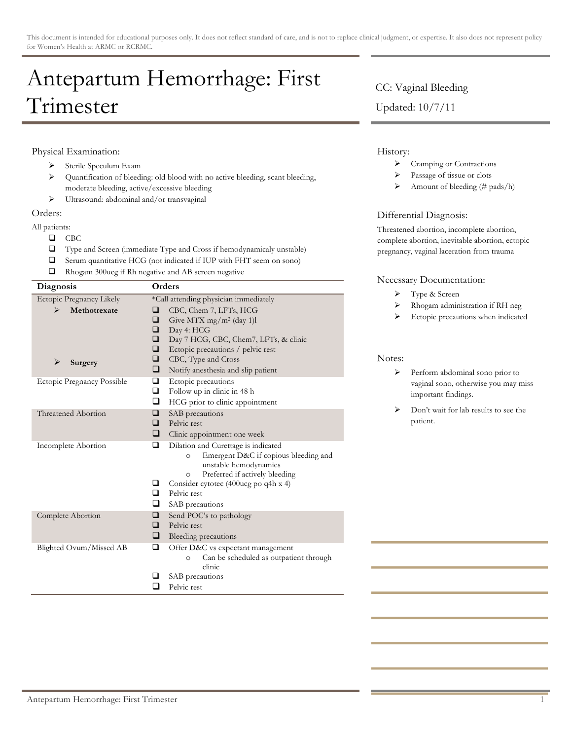# Antepartum Hemorrhage: First Trimester

## Physical Examination:

- > Sterile Speculum Exam
- ! Quantification of bleeding: old blood with no active bleeding, scant bleeding, moderate bleeding, active/excessive bleeding
- > Ultrasound: abdominal and/or transvaginal

### Orders:

All patients:

- $\Box$  CBC
- $\Box$  Type and Screen (immediate Type and Cross if hemodynamicaly unstable)
- $\Box$  Serum quantitative HCG (not indicated if IUP with FHT seem on sono)
- $\Box$  Rhogam 300ucg if Rh negative and AB screen negative

| Diagnosis                                                     | Orders                                                                                                                                                                                                                                                                                             |
|---------------------------------------------------------------|----------------------------------------------------------------------------------------------------------------------------------------------------------------------------------------------------------------------------------------------------------------------------------------------------|
| Ectopic Pregnancy Likely<br>Methotrexate<br>⋗<br>⋗<br>Surgery | *Call attending physician immediately<br>CBC, Chem 7, LFTs, HCG<br>⊔<br>❏<br>Give MTX mg/m <sup>2</sup> (day 1)l<br>❏<br>Day 4: HCG<br>❏<br>Day 7 HCG, CBC, Chem7, LFTs, & clinic<br>□<br>Ectopic precautions / pelvic rest<br>□<br>CBC, Type and Cross<br>❏<br>Notify anesthesia and slip patient |
| Ectopic Pregnancy Possible                                    | ❏<br>Ectopic precautions<br>□<br>Follow up in clinic in 48 h<br>❏<br>HCG prior to clinic appointment                                                                                                                                                                                               |
| Threatened Abortion                                           | ❏<br>SAB precautions<br>Pelvic rest<br>□<br>❏<br>Clinic appointment one week                                                                                                                                                                                                                       |
| Incomplete Abortion                                           | Dilation and Curettage is indicated<br>❏<br>Emergent D&C if copious bleeding and<br>$\circ$<br>unstable hemodynamics<br>Preferred if actively bleeding<br>$\circ$<br>❏<br>Consider cytotec (400ucg po q4h x 4)<br>Pelvic rest<br>□<br>❏<br>SAB precautions                                         |
| Complete Abortion                                             | $\Box$<br>Send POC's to pathology<br>Pelvic rest<br>◻<br>❏<br>Bleeding precautions                                                                                                                                                                                                                 |
| Blighted Ovum/Missed AB                                       | □<br>Offer D&C vs expectant management<br>Can be scheduled as outpatient through<br>$\circ$<br>clinic<br>ப<br>SAB precautions<br>Pelvic rest<br>ப                                                                                                                                                  |

# CC: Vaginal Bleeding

Updated: 10/7/11

# History:

- > Cramping or Contractions
- Passage of tissue or clots
- $\triangleright$  Amount of bleeding (# pads/h)

# Differential Diagnosis:

Threatened abortion, incomplete abortion, complete abortion, inevitable abortion, ectopic pregnancy, vaginal laceration from trauma

### Necessary Documentation:

- > Type & Screen
- ! Rhogam administration if RH neg
- > Ectopic precautions when indicated

#### Notes:

- > Perform abdominal sono prior to vaginal sono, otherwise you may miss important findings.
- > Don't wait for lab results to see the patient.